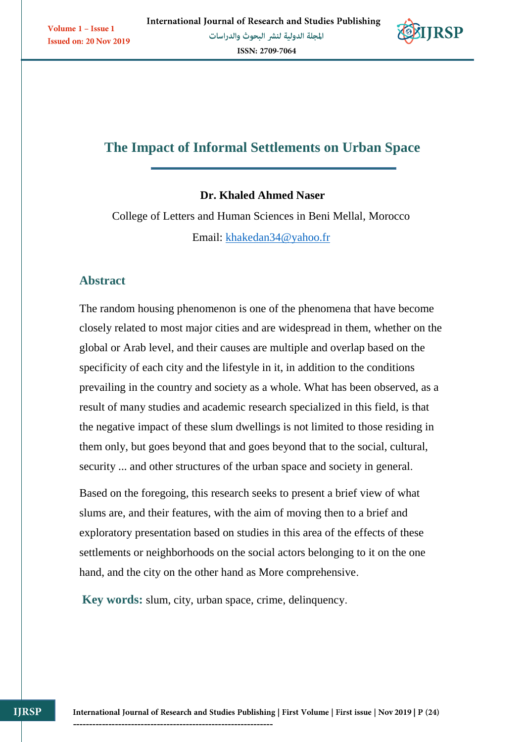

# **The Impact of Informal Settlements on Urban Space**

## **Dr. Khaled Ahmed Naser**

College of Letters and Human Sciences in Beni Mellal, Morocco Email: [khakedan34@yahoo.fr](mailto:khakedan34@yahoo.fr)

## **Abstract**

The random housing phenomenon is one of the phenomena that have become closely related to most major cities and are widespread in them, whether on the global or Arab level, and their causes are multiple and overlap based on the specificity of each city and the lifestyle in it, in addition to the conditions prevailing in the country and society as a whole. What has been observed, as a result of many studies and academic research specialized in this field, is that the negative impact of these slum dwellings is not limited to those residing in them only, but goes beyond that and goes beyond that to the social, cultural, security ... and other structures of the urban space and society in general.

Based on the foregoing, this research seeks to present a brief view of what slums are, and their features, with the aim of moving then to a brief and exploratory presentation based on studies in this area of the effects of these settlements or neighborhoods on the social actors belonging to it on the one hand, and the city on the other hand as More comprehensive.

**Key words:** slum, city, urban space, crime, delinquency.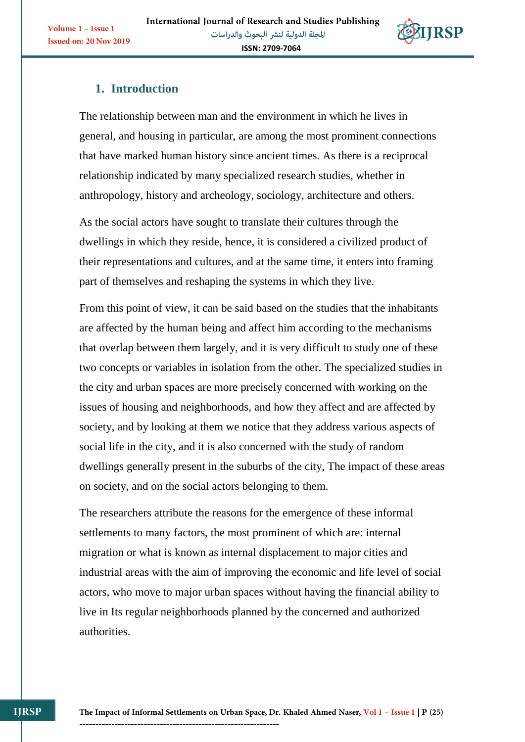

## **1. Introduction**

The relationship between man and the environment in which he lives in general, and housing in particular, are among the most prominent connections that have marked human history since ancient times. As there is a reciprocal relationship indicated by many specialized research studies, whether in anthropology, history and archeology, sociology, architecture and others.

As the social actors have sought to translate their cultures through the dwellings in which they reside, hence, it is considered a civilized product of their representations and cultures, and at the same time, it enters into framing part of themselves and reshaping the systems in which they live.

From this point of view, it can be said based on the studies that the inhabitants are affected by the human being and affect him according to the mechanisms that overlap between them largely, and it is very difficult to study one of these two concepts or variables in isolation from the other. The specialized studies in the city and urban spaces are more precisely concerned with working on the issues of housing and neighborhoods, and how they affect and are affected by society, and by looking at them we notice that they address various aspects of social life in the city, and it is also concerned with the study of random dwellings generally present in the suburbs of the city, The impact of these areas on society, and on the social actors belonging to them.

The researchers attribute the reasons for the emergence of these informal settlements to many factors, the most prominent of which are: internal migration or what is known as internal displacement to major cities and industrial areas with the aim of improving the economic and life level of social actors, who move to major urban spaces without having the financial ability to live in Its regular neighborhoods planned by the concerned and authorized authorities.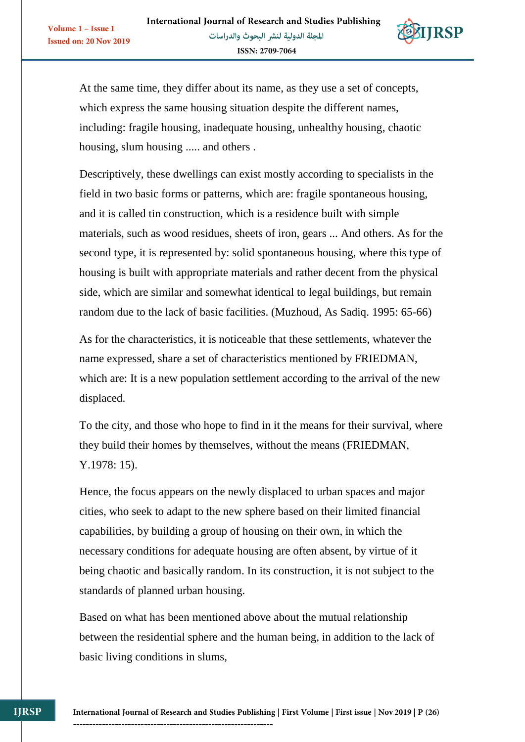

At the same time, they differ about its name, as they use a set of concepts, which express the same housing situation despite the different names, including: fragile housing, inadequate housing, unhealthy housing, chaotic housing, slum housing ..... and others .

Descriptively, these dwellings can exist mostly according to specialists in the field in two basic forms or patterns, which are: fragile spontaneous housing, and it is called tin construction, which is a residence built with simple materials, such as wood residues, sheets of iron, gears ... And others. As for the second type, it is represented by: solid spontaneous housing, where this type of housing is built with appropriate materials and rather decent from the physical side, which are similar and somewhat identical to legal buildings, but remain random due to the lack of basic facilities. (Muzhoud, As Sadiq. 1995: 65-66)

As for the characteristics, it is noticeable that these settlements, whatever the name expressed, share a set of characteristics mentioned by FRIEDMAN, which are: It is a new population settlement according to the arrival of the new displaced.

To the city, and those who hope to find in it the means for their survival, where they build their homes by themselves, without the means (FRIEDMAN, Y.1978: 15).

Hence, the focus appears on the newly displaced to urban spaces and major cities, who seek to adapt to the new sphere based on their limited financial capabilities, by building a group of housing on their own, in which the necessary conditions for adequate housing are often absent, by virtue of it being chaotic and basically random. In its construction, it is not subject to the standards of planned urban housing.

Based on what has been mentioned above about the mutual relationship between the residential sphere and the human being, in addition to the lack of basic living conditions in slums,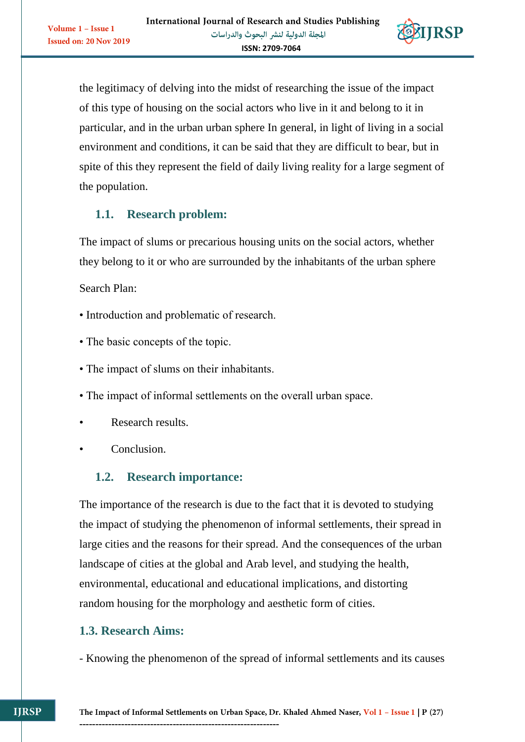

the legitimacy of delving into the midst of researching the issue of the impact of this type of housing on the social actors who live in it and belong to it in particular, and in the urban urban sphere In general, in light of living in a social environment and conditions, it can be said that they are difficult to bear, but in spite of this they represent the field of daily living reality for a large segment of the population.

# **1.1. Research problem:**

The impact of slums or precarious housing units on the social actors, whether they belong to it or who are surrounded by the inhabitants of the urban sphere

Search Plan:

Volume 1 - Issue 1

**Issued on: 20 Nov 2019** 

- Introduction and problematic of research.
- The basic concepts of the topic.
- The impact of slums on their inhabitants.
- The impact of informal settlements on the overall urban space.
- Research results.
- Conclusion.

# **1.2. Research importance:**

The importance of the research is due to the fact that it is devoted to studying the impact of studying the phenomenon of informal settlements, their spread in large cities and the reasons for their spread. And the consequences of the urban landscape of cities at the global and Arab level, and studying the health, environmental, educational and educational implications, and distorting random housing for the morphology and aesthetic form of cities.

## **1.3. Research Aims:**

- Knowing the phenomenon of the spread of informal settlements and its causes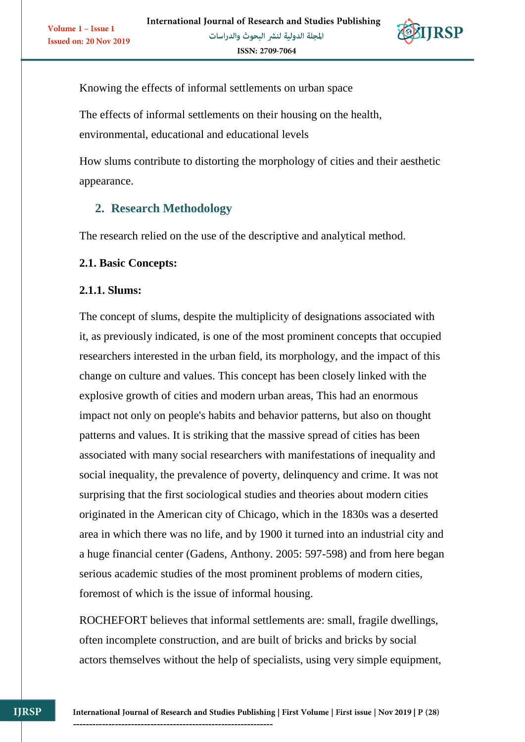

Knowing the effects of informal settlements on urban space

The effects of informal settlements on their housing on the health, environmental, educational and educational levels

How slums contribute to distorting the morphology of cities and their aesthetic appearance.

# **2. Research Methodology**

The research relied on the use of the descriptive and analytical method.

## **2.1. Basic Concepts:**

## **2.1.1. Slums:**

The concept of slums, despite the multiplicity of designations associated with it, as previously indicated, is one of the most prominent concepts that occupied researchers interested in the urban field, its morphology, and the impact of this change on culture and values. This concept has been closely linked with the explosive growth of cities and modern urban areas, This had an enormous impact not only on people's habits and behavior patterns, but also on thought patterns and values. It is striking that the massive spread of cities has been associated with many social researchers with manifestations of inequality and social inequality, the prevalence of poverty, delinquency and crime. It was not surprising that the first sociological studies and theories about modern cities originated in the American city of Chicago, which in the 1830s was a deserted area in which there was no life, and by 1900 it turned into an industrial city and a huge financial center (Gadens, Anthony. 2005: 597-598) and from here began serious academic studies of the most prominent problems of modern cities, foremost of which is the issue of informal housing.

ROCHEFORT believes that informal settlements are: small, fragile dwellings, often incomplete construction, and are built of bricks and bricks by social actors themselves without the help of specialists, using very simple equipment,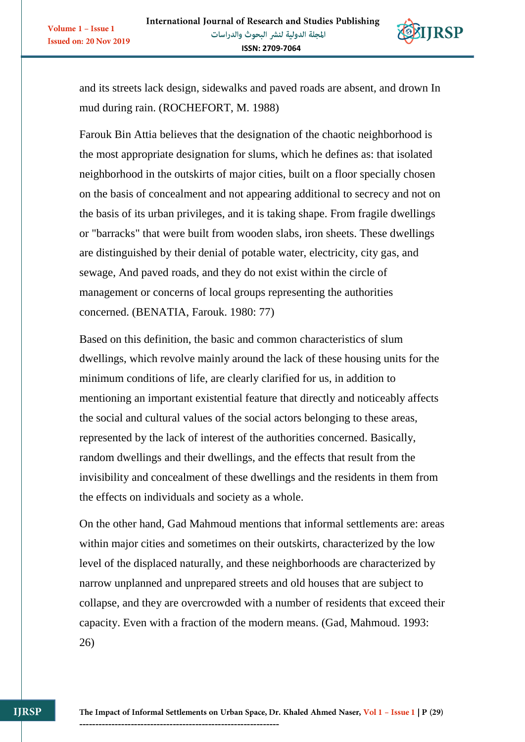

and its streets lack design, sidewalks and paved roads are absent, and drown In mud during rain. (ROCHEFORT, M. 1988)

Farouk Bin Attia believes that the designation of the chaotic neighborhood is the most appropriate designation for slums, which he defines as: that isolated neighborhood in the outskirts of major cities, built on a floor specially chosen on the basis of concealment and not appearing additional to secrecy and not on the basis of its urban privileges, and it is taking shape. From fragile dwellings or "barracks" that were built from wooden slabs, iron sheets. These dwellings are distinguished by their denial of potable water, electricity, city gas, and sewage, And paved roads, and they do not exist within the circle of management or concerns of local groups representing the authorities concerned. (BENATIA, Farouk. 1980: 77)

Based on this definition, the basic and common characteristics of slum dwellings, which revolve mainly around the lack of these housing units for the minimum conditions of life, are clearly clarified for us, in addition to mentioning an important existential feature that directly and noticeably affects the social and cultural values of the social actors belonging to these areas, represented by the lack of interest of the authorities concerned. Basically, random dwellings and their dwellings, and the effects that result from the invisibility and concealment of these dwellings and the residents in them from the effects on individuals and society as a whole.

On the other hand, Gad Mahmoud mentions that informal settlements are: areas within major cities and sometimes on their outskirts, characterized by the low level of the displaced naturally, and these neighborhoods are characterized by narrow unplanned and unprepared streets and old houses that are subject to collapse, and they are overcrowded with a number of residents that exceed their capacity. Even with a fraction of the modern means. (Gad, Mahmoud. 1993: 26)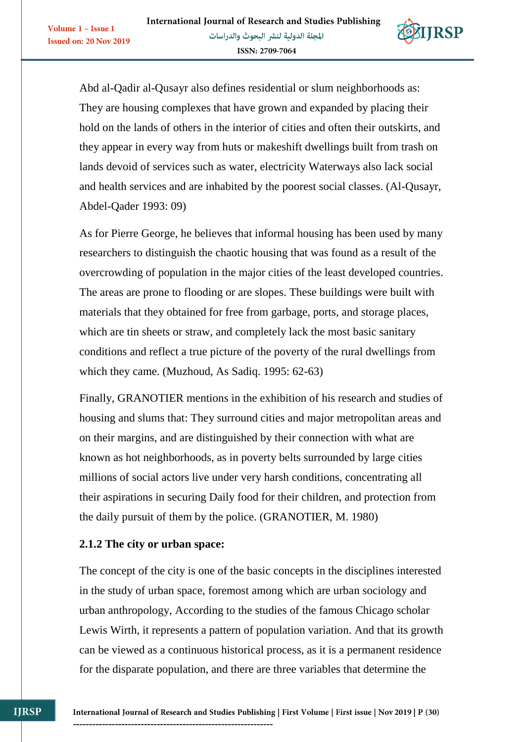

Abd al-Qadir al-Qusayr also defines residential or slum neighborhoods as: They are housing complexes that have grown and expanded by placing their hold on the lands of others in the interior of cities and often their outskirts, and they appear in every way from huts or makeshift dwellings built from trash on lands devoid of services such as water, electricity Waterways also lack social and health services and are inhabited by the poorest social classes. (Al-Qusayr, Abdel-Qader 1993: 09)

As for Pierre George, he believes that informal housing has been used by many researchers to distinguish the chaotic housing that was found as a result of the overcrowding of population in the major cities of the least developed countries. The areas are prone to flooding or are slopes. These buildings were built with materials that they obtained for free from garbage, ports, and storage places, which are tin sheets or straw, and completely lack the most basic sanitary conditions and reflect a true picture of the poverty of the rural dwellings from which they came. (Muzhoud, As Sadiq. 1995: 62-63)

Finally, GRANOTIER mentions in the exhibition of his research and studies of housing and slums that: They surround cities and major metropolitan areas and on their margins, and are distinguished by their connection with what are known as hot neighborhoods, as in poverty belts surrounded by large cities millions of social actors live under very harsh conditions, concentrating all their aspirations in securing Daily food for their children, and protection from the daily pursuit of them by the police. (GRANOTIER, M. 1980)

#### **2.1.2 The city or urban space:**

The concept of the city is one of the basic concepts in the disciplines interested in the study of urban space, foremost among which are urban sociology and urban anthropology, According to the studies of the famous Chicago scholar Lewis Wirth, it represents a pattern of population variation. And that its growth can be viewed as a continuous historical process, as it is a permanent residence for the disparate population, and there are three variables that determine the

**IIRSP** 

Volume 1 - Issue 1

**Issued on: 20 Nov 2019**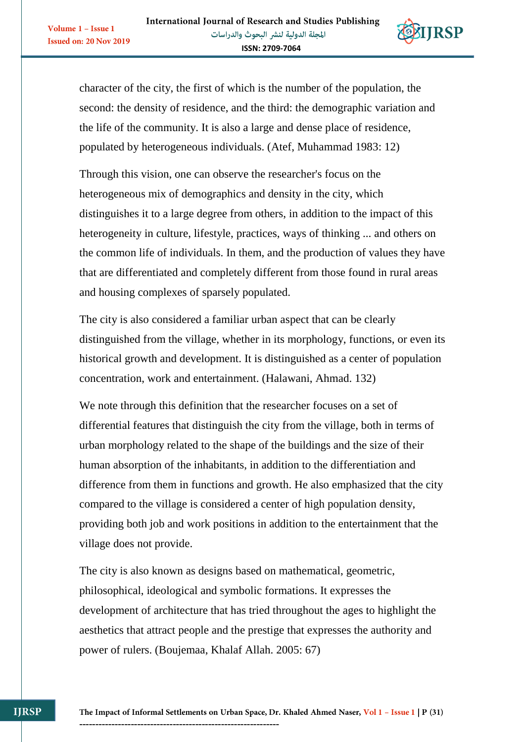**Issued on: 20 Nov 2019** 



character of the city, the first of which is the number of the population, the second: the density of residence, and the third: the demographic variation and the life of the community. It is also a large and dense place of residence, populated by heterogeneous individuals. (Atef, Muhammad 1983: 12)

Through this vision, one can observe the researcher's focus on the heterogeneous mix of demographics and density in the city, which distinguishes it to a large degree from others, in addition to the impact of this heterogeneity in culture, lifestyle, practices, ways of thinking ... and others on the common life of individuals. In them, and the production of values they have that are differentiated and completely different from those found in rural areas and housing complexes of sparsely populated.

The city is also considered a familiar urban aspect that can be clearly distinguished from the village, whether in its morphology, functions, or even its historical growth and development. It is distinguished as a center of population concentration, work and entertainment. (Halawani, Ahmad. 132)

We note through this definition that the researcher focuses on a set of differential features that distinguish the city from the village, both in terms of urban morphology related to the shape of the buildings and the size of their human absorption of the inhabitants, in addition to the differentiation and difference from them in functions and growth. He also emphasized that the city compared to the village is considered a center of high population density, providing both job and work positions in addition to the entertainment that the village does not provide.

The city is also known as designs based on mathematical, geometric, philosophical, ideological and symbolic formations. It expresses the development of architecture that has tried throughout the ages to highlight the aesthetics that attract people and the prestige that expresses the authority and power of rulers. (Boujemaa, Khalaf Allah. 2005: 67)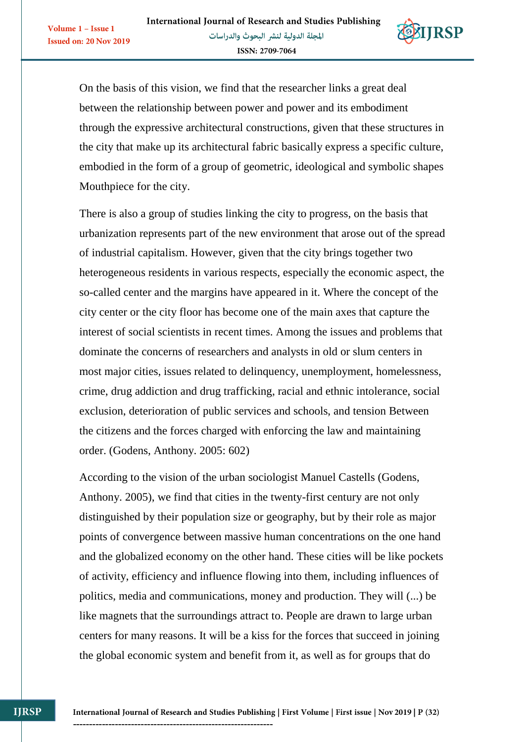

On the basis of this vision, we find that the researcher links a great deal between the relationship between power and power and its embodiment through the expressive architectural constructions, given that these structures in the city that make up its architectural fabric basically express a specific culture, embodied in the form of a group of geometric, ideological and symbolic shapes Mouthpiece for the city.

There is also a group of studies linking the city to progress, on the basis that urbanization represents part of the new environment that arose out of the spread of industrial capitalism. However, given that the city brings together two heterogeneous residents in various respects, especially the economic aspect, the so-called center and the margins have appeared in it. Where the concept of the city center or the city floor has become one of the main axes that capture the interest of social scientists in recent times. Among the issues and problems that dominate the concerns of researchers and analysts in old or slum centers in most major cities, issues related to delinquency, unemployment, homelessness, crime, drug addiction and drug trafficking, racial and ethnic intolerance, social exclusion, deterioration of public services and schools, and tension Between the citizens and the forces charged with enforcing the law and maintaining order. (Godens, Anthony. 2005: 602)

According to the vision of the urban sociologist Manuel Castells (Godens, Anthony. 2005), we find that cities in the twenty-first century are not only distinguished by their population size or geography, but by their role as major points of convergence between massive human concentrations on the one hand and the globalized economy on the other hand. These cities will be like pockets of activity, efficiency and influence flowing into them, including influences of politics, media and communications, money and production. They will (...) be like magnets that the surroundings attract to. People are drawn to large urban centers for many reasons. It will be a kiss for the forces that succeed in joining the global economic system and benefit from it, as well as for groups that do

**IIRSP**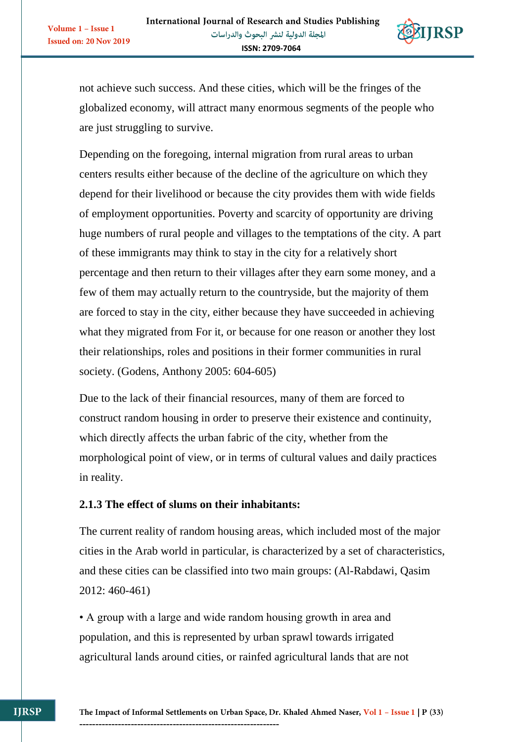

not achieve such success. And these cities, which will be the fringes of the globalized economy, will attract many enormous segments of the people who are just struggling to survive.

Depending on the foregoing, internal migration from rural areas to urban centers results either because of the decline of the agriculture on which they depend for their livelihood or because the city provides them with wide fields of employment opportunities. Poverty and scarcity of opportunity are driving huge numbers of rural people and villages to the temptations of the city. A part of these immigrants may think to stay in the city for a relatively short percentage and then return to their villages after they earn some money, and a few of them may actually return to the countryside, but the majority of them are forced to stay in the city, either because they have succeeded in achieving what they migrated from For it, or because for one reason or another they lost their relationships, roles and positions in their former communities in rural society. (Godens, Anthony 2005: 604-605)

Due to the lack of their financial resources, many of them are forced to construct random housing in order to preserve their existence and continuity, which directly affects the urban fabric of the city, whether from the morphological point of view, or in terms of cultural values and daily practices in reality.

## **2.1.3 The effect of slums on their inhabitants:**

The current reality of random housing areas, which included most of the major cities in the Arab world in particular, is characterized by a set of characteristics, and these cities can be classified into two main groups: (Al-Rabdawi, Qasim 2012: 460-461)

• A group with a large and wide random housing growth in area and population, and this is represented by urban sprawl towards irrigated agricultural lands around cities, or rainfed agricultural lands that are not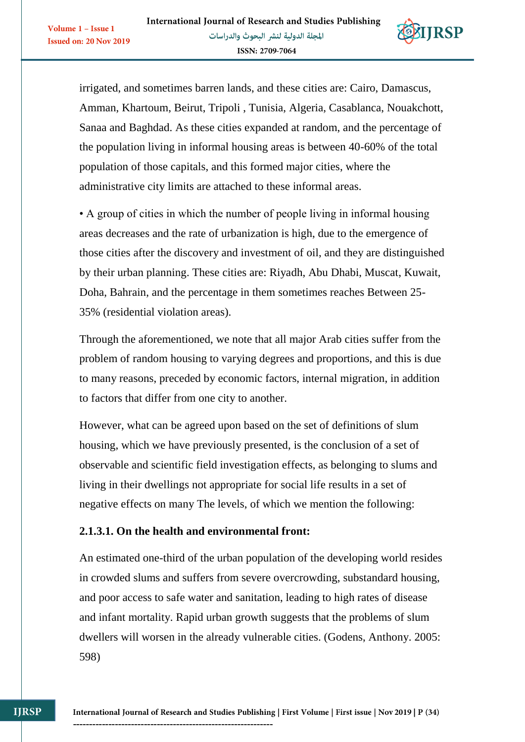**Issued on: 20 Nov 2019** 



irrigated, and sometimes barren lands, and these cities are: Cairo, Damascus, Amman, Khartoum, Beirut, Tripoli , Tunisia, Algeria, Casablanca, Nouakchott, Sanaa and Baghdad. As these cities expanded at random, and the percentage of the population living in informal housing areas is between 40-60% of the total population of those capitals, and this formed major cities, where the administrative city limits are attached to these informal areas.

• A group of cities in which the number of people living in informal housing areas decreases and the rate of urbanization is high, due to the emergence of those cities after the discovery and investment of oil, and they are distinguished by their urban planning. These cities are: Riyadh, Abu Dhabi, Muscat, Kuwait, Doha, Bahrain, and the percentage in them sometimes reaches Between 25- 35% (residential violation areas).

Through the aforementioned, we note that all major Arab cities suffer from the problem of random housing to varying degrees and proportions, and this is due to many reasons, preceded by economic factors, internal migration, in addition to factors that differ from one city to another.

However, what can be agreed upon based on the set of definitions of slum housing, which we have previously presented, is the conclusion of a set of observable and scientific field investigation effects, as belonging to slums and living in their dwellings not appropriate for social life results in a set of negative effects on many The levels, of which we mention the following:

## **2.1.3.1. On the health and environmental front:**

--------------------------------------------------------------

An estimated one-third of the urban population of the developing world resides in crowded slums and suffers from severe overcrowding, substandard housing, and poor access to safe water and sanitation, leading to high rates of disease and infant mortality. Rapid urban growth suggests that the problems of slum dwellers will worsen in the already vulnerable cities. (Godens, Anthony. 2005: 598)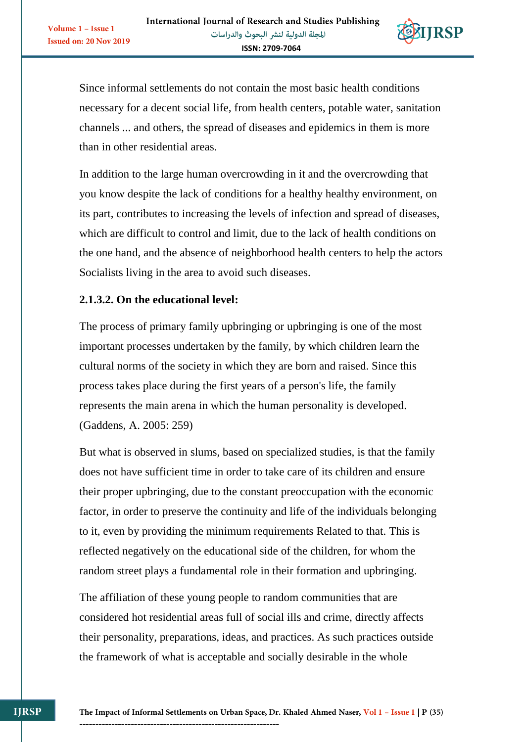

Since informal settlements do not contain the most basic health conditions necessary for a decent social life, from health centers, potable water, sanitation channels ... and others, the spread of diseases and epidemics in them is more than in other residential areas.

In addition to the large human overcrowding in it and the overcrowding that you know despite the lack of conditions for a healthy healthy environment, on its part, contributes to increasing the levels of infection and spread of diseases, which are difficult to control and limit, due to the lack of health conditions on the one hand, and the absence of neighborhood health centers to help the actors Socialists living in the area to avoid such diseases.

## **2.1.3.2. On the educational level:**

The process of primary family upbringing or upbringing is one of the most important processes undertaken by the family, by which children learn the cultural norms of the society in which they are born and raised. Since this process takes place during the first years of a person's life, the family represents the main arena in which the human personality is developed. (Gaddens, A. 2005: 259)

But what is observed in slums, based on specialized studies, is that the family does not have sufficient time in order to take care of its children and ensure their proper upbringing, due to the constant preoccupation with the economic factor, in order to preserve the continuity and life of the individuals belonging to it, even by providing the minimum requirements Related to that. This is reflected negatively on the educational side of the children, for whom the random street plays a fundamental role in their formation and upbringing.

The affiliation of these young people to random communities that are considered hot residential areas full of social ills and crime, directly affects their personality, preparations, ideas, and practices. As such practices outside the framework of what is acceptable and socially desirable in the whole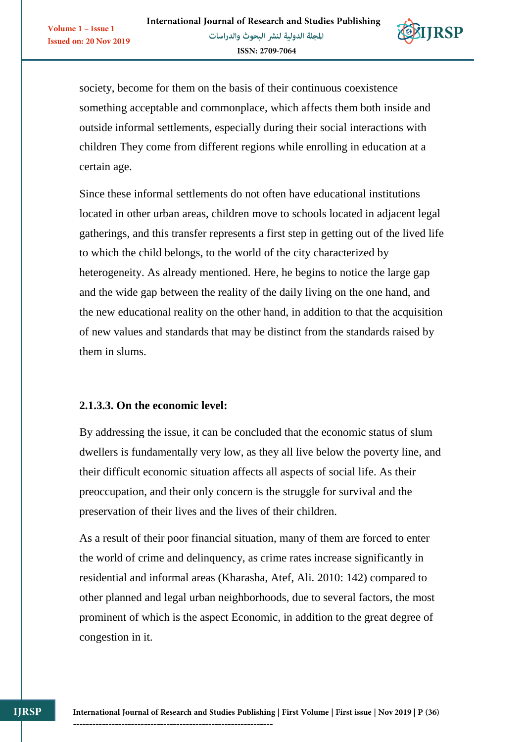

society, become for them on the basis of their continuous coexistence something acceptable and commonplace, which affects them both inside and outside informal settlements, especially during their social interactions with children They come from different regions while enrolling in education at a certain age.

Since these informal settlements do not often have educational institutions located in other urban areas, children move to schools located in adjacent legal gatherings, and this transfer represents a first step in getting out of the lived life to which the child belongs, to the world of the city characterized by heterogeneity. As already mentioned. Here, he begins to notice the large gap and the wide gap between the reality of the daily living on the one hand, and the new educational reality on the other hand, in addition to that the acquisition of new values and standards that may be distinct from the standards raised by them in slums.

## **2.1.3.3. On the economic level:**

By addressing the issue, it can be concluded that the economic status of slum dwellers is fundamentally very low, as they all live below the poverty line, and their difficult economic situation affects all aspects of social life. As their preoccupation, and their only concern is the struggle for survival and the preservation of their lives and the lives of their children.

As a result of their poor financial situation, many of them are forced to enter the world of crime and delinquency, as crime rates increase significantly in residential and informal areas (Kharasha, Atef, Ali. 2010: 142) compared to other planned and legal urban neighborhoods, due to several factors, the most prominent of which is the aspect Economic, in addition to the great degree of congestion in it.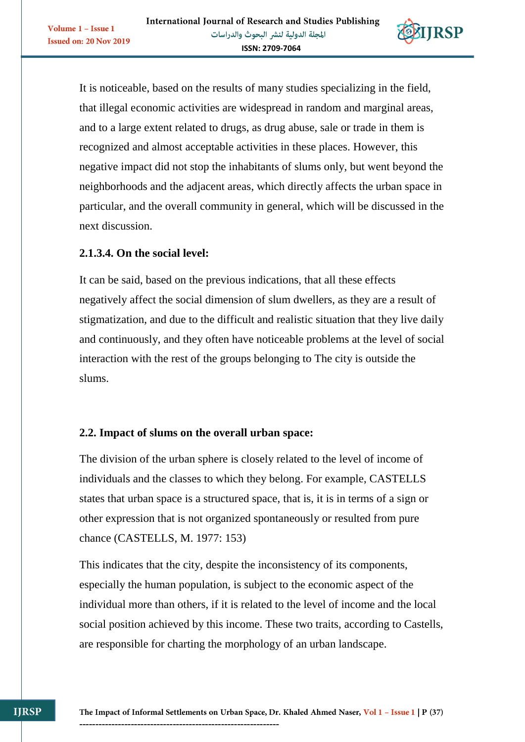

It is noticeable, based on the results of many studies specializing in the field, that illegal economic activities are widespread in random and marginal areas, and to a large extent related to drugs, as drug abuse, sale or trade in them is recognized and almost acceptable activities in these places. However, this negative impact did not stop the inhabitants of slums only, but went beyond the neighborhoods and the adjacent areas, which directly affects the urban space in particular, and the overall community in general, which will be discussed in the next discussion.

## **2.1.3.4. On the social level:**

Volume 1 - Issue 1

**Issued on: 20 Nov 2019** 

It can be said, based on the previous indications, that all these effects negatively affect the social dimension of slum dwellers, as they are a result of stigmatization, and due to the difficult and realistic situation that they live daily and continuously, and they often have noticeable problems at the level of social interaction with the rest of the groups belonging to The city is outside the slums.

## **2.2. Impact of slums on the overall urban space:**

The division of the urban sphere is closely related to the level of income of individuals and the classes to which they belong. For example, CASTELLS states that urban space is a structured space, that is, it is in terms of a sign or other expression that is not organized spontaneously or resulted from pure chance (CASTELLS, M. 1977: 153)

This indicates that the city, despite the inconsistency of its components, especially the human population, is subject to the economic aspect of the individual more than others, if it is related to the level of income and the local social position achieved by this income. These two traits, according to Castells, are responsible for charting the morphology of an urban landscape.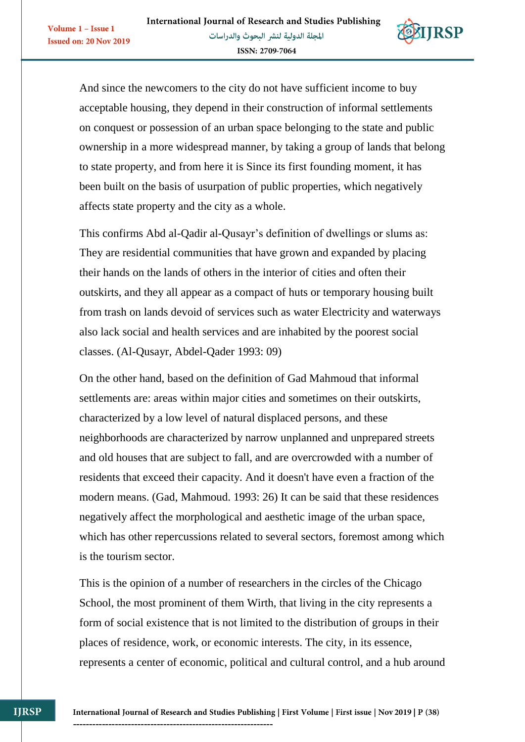**Issued on: 20 Nov 2019** 



And since the newcomers to the city do not have sufficient income to buy acceptable housing, they depend in their construction of informal settlements on conquest or possession of an urban space belonging to the state and public ownership in a more widespread manner, by taking a group of lands that belong to state property, and from here it is Since its first founding moment, it has been built on the basis of usurpation of public properties, which negatively affects state property and the city as a whole.

This confirms Abd al-Qadir al-Qusayr's definition of dwellings or slums as: They are residential communities that have grown and expanded by placing their hands on the lands of others in the interior of cities and often their outskirts, and they all appear as a compact of huts or temporary housing built from trash on lands devoid of services such as water Electricity and waterways also lack social and health services and are inhabited by the poorest social classes. (Al-Qusayr, Abdel-Qader 1993: 09)

On the other hand, based on the definition of Gad Mahmoud that informal settlements are: areas within major cities and sometimes on their outskirts, characterized by a low level of natural displaced persons, and these neighborhoods are characterized by narrow unplanned and unprepared streets and old houses that are subject to fall, and are overcrowded with a number of residents that exceed their capacity. And it doesn't have even a fraction of the modern means. (Gad, Mahmoud. 1993: 26) It can be said that these residences negatively affect the morphological and aesthetic image of the urban space, which has other repercussions related to several sectors, foremost among which is the tourism sector.

This is the opinion of a number of researchers in the circles of the Chicago School, the most prominent of them Wirth, that living in the city represents a form of social existence that is not limited to the distribution of groups in their places of residence, work, or economic interests. The city, in its essence, represents a center of economic, political and cultural control, and a hub around

**IIRSP**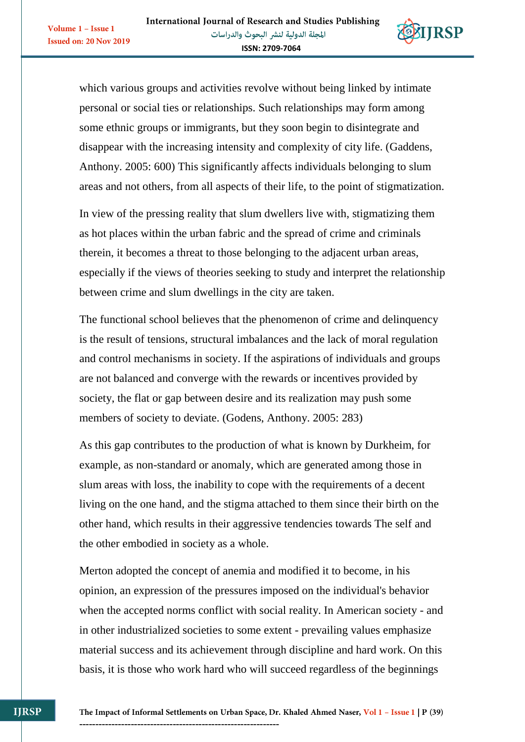**Issued on: 20 Nov 2019** 



which various groups and activities revolve without being linked by intimate personal or social ties or relationships. Such relationships may form among some ethnic groups or immigrants, but they soon begin to disintegrate and disappear with the increasing intensity and complexity of city life. (Gaddens, Anthony. 2005: 600) This significantly affects individuals belonging to slum areas and not others, from all aspects of their life, to the point of stigmatization.

In view of the pressing reality that slum dwellers live with, stigmatizing them as hot places within the urban fabric and the spread of crime and criminals therein, it becomes a threat to those belonging to the adjacent urban areas, especially if the views of theories seeking to study and interpret the relationship between crime and slum dwellings in the city are taken.

The functional school believes that the phenomenon of crime and delinquency is the result of tensions, structural imbalances and the lack of moral regulation and control mechanisms in society. If the aspirations of individuals and groups are not balanced and converge with the rewards or incentives provided by society, the flat or gap between desire and its realization may push some members of society to deviate. (Godens, Anthony. 2005: 283)

As this gap contributes to the production of what is known by Durkheim, for example, as non-standard or anomaly, which are generated among those in slum areas with loss, the inability to cope with the requirements of a decent living on the one hand, and the stigma attached to them since their birth on the other hand, which results in their aggressive tendencies towards The self and the other embodied in society as a whole.

Merton adopted the concept of anemia and modified it to become, in his opinion, an expression of the pressures imposed on the individual's behavior when the accepted norms conflict with social reality. In American society - and in other industrialized societies to some extent - prevailing values emphasize material success and its achievement through discipline and hard work. On this basis, it is those who work hard who will succeed regardless of the beginnings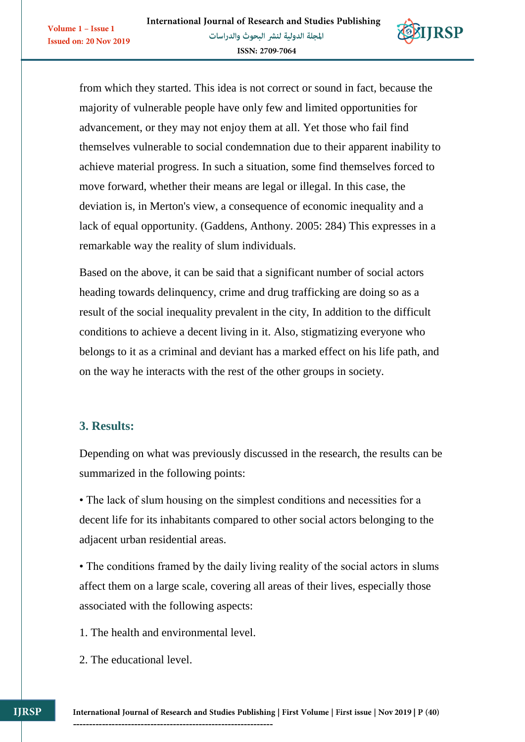

from which they started. This idea is not correct or sound in fact, because the majority of vulnerable people have only few and limited opportunities for advancement, or they may not enjoy them at all. Yet those who fail find themselves vulnerable to social condemnation due to their apparent inability to achieve material progress. In such a situation, some find themselves forced to move forward, whether their means are legal or illegal. In this case, the deviation is, in Merton's view, a consequence of economic inequality and a lack of equal opportunity. (Gaddens, Anthony. 2005: 284) This expresses in a remarkable way the reality of slum individuals.

Based on the above, it can be said that a significant number of social actors heading towards delinquency, crime and drug trafficking are doing so as a result of the social inequality prevalent in the city, In addition to the difficult conditions to achieve a decent living in it. Also, stigmatizing everyone who belongs to it as a criminal and deviant has a marked effect on his life path, and on the way he interacts with the rest of the other groups in society.

## **3. Results:**

Volume 1 - Issue 1

**Issued on: 20 Nov 2019** 

Depending on what was previously discussed in the research, the results can be summarized in the following points:

• The lack of slum housing on the simplest conditions and necessities for a decent life for its inhabitants compared to other social actors belonging to the adjacent urban residential areas.

• The conditions framed by the daily living reality of the social actors in slums affect them on a large scale, covering all areas of their lives, especially those associated with the following aspects:

1. The health and environmental level.

2. The educational level.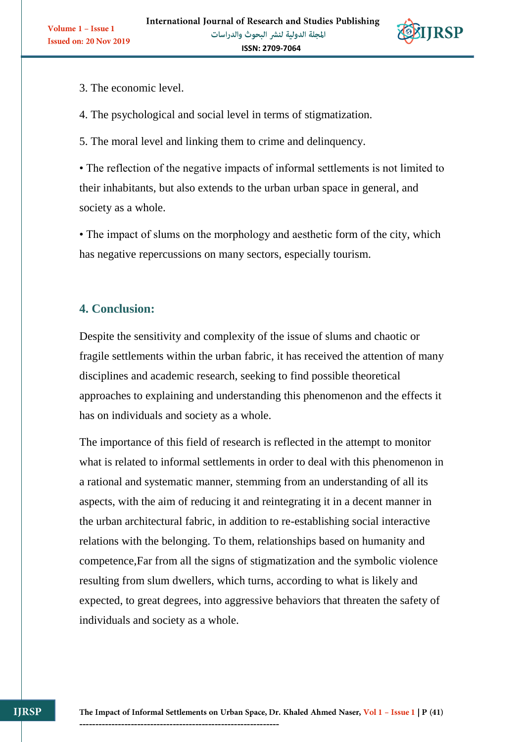

3. The economic level.

4. The psychological and social level in terms of stigmatization.

5. The moral level and linking them to crime and delinquency.

• The reflection of the negative impacts of informal settlements is not limited to their inhabitants, but also extends to the urban urban space in general, and society as a whole.

• The impact of slums on the morphology and aesthetic form of the city, which has negative repercussions on many sectors, especially tourism.

# **4. Conclusion:**

Despite the sensitivity and complexity of the issue of slums and chaotic or fragile settlements within the urban fabric, it has received the attention of many disciplines and academic research, seeking to find possible theoretical approaches to explaining and understanding this phenomenon and the effects it has on individuals and society as a whole.

The importance of this field of research is reflected in the attempt to monitor what is related to informal settlements in order to deal with this phenomenon in a rational and systematic manner, stemming from an understanding of all its aspects, with the aim of reducing it and reintegrating it in a decent manner in the urban architectural fabric, in addition to re-establishing social interactive relations with the belonging. To them, relationships based on humanity and competence,Far from all the signs of stigmatization and the symbolic violence resulting from slum dwellers, which turns, according to what is likely and expected, to great degrees, into aggressive behaviors that threaten the safety of individuals and society as a whole.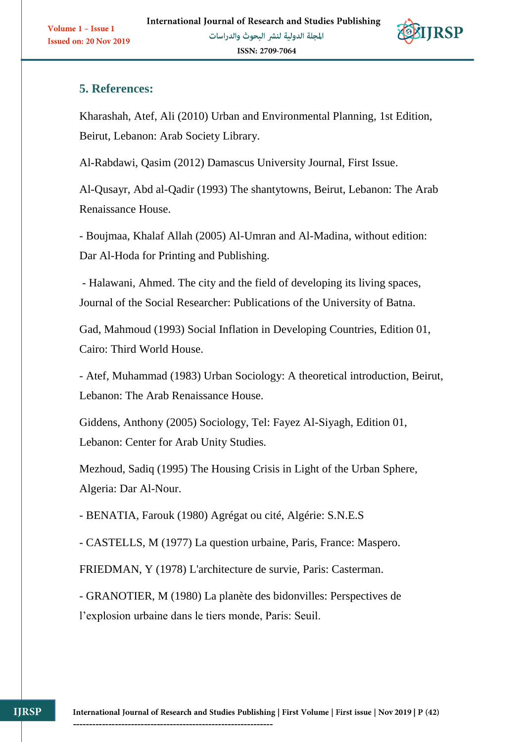

## **5. References:**

Kharashah, Atef, Ali (2010) Urban and Environmental Planning, 1st Edition, Beirut, Lebanon: Arab Society Library.

Al-Rabdawi, Qasim (2012) Damascus University Journal, First Issue.

Al-Qusayr, Abd al-Qadir (1993) The shantytowns, Beirut, Lebanon: The Arab Renaissance House.

- Boujmaa, Khalaf Allah (2005) Al-Umran and Al-Madina, without edition: Dar Al-Hoda for Printing and Publishing.

- Halawani, Ahmed. The city and the field of developing its living spaces, Journal of the Social Researcher: Publications of the University of Batna.

Gad, Mahmoud (1993) Social Inflation in Developing Countries, Edition 01, Cairo: Third World House.

- Atef, Muhammad (1983) Urban Sociology: A theoretical introduction, Beirut, Lebanon: The Arab Renaissance House.

Giddens, Anthony (2005) Sociology, Tel: Fayez Al-Siyagh, Edition 01, Lebanon: Center for Arab Unity Studies.

Mezhoud, Sadiq (1995) The Housing Crisis in Light of the Urban Sphere, Algeria: Dar Al-Nour.

- BENATIA, Farouk (1980) Agrégat ou cité, Algérie: S.N.E.S

- CASTELLS, M (1977) La question urbaine, Paris, France: Maspero.

FRIEDMAN, Y (1978) L'architecture de survie, Paris: Casterman.

- GRANOTIER, M (1980) La planète des bidonvilles: Perspectives de l'explosion urbaine dans le tiers monde, Paris: Seuil.